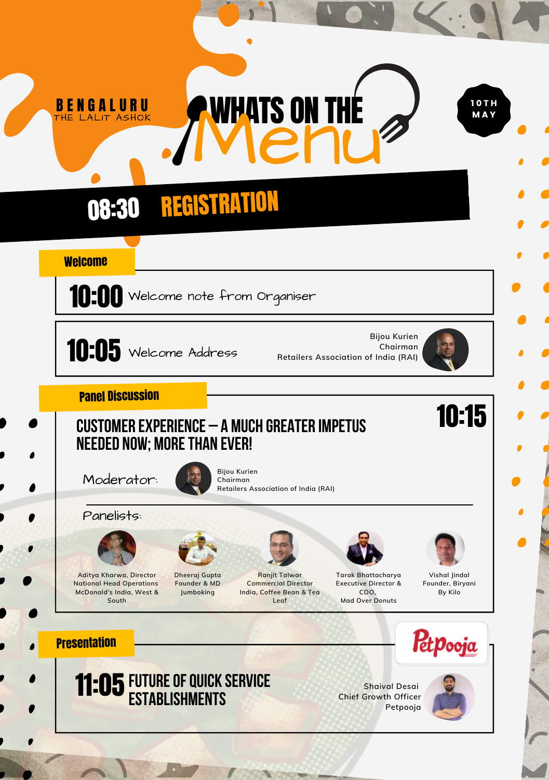## **08:30 REGISTRATION**

## **Welcome**

**BENGALURU** 



 $10:05$  Welcome Address

**Bijou Kurien Chairman Retailers Association of India (RAI)**



10:15

1 0 T H M A Y

Panel Discussion

## Customer Experience – A Much Greater Impetus NEEDED NOW; MORE THAN EVER!

**Bijou Kurien Chairman**

Moderator:





**Aditya Kharwa, Director National Head Operations McDonald's India, West & South**



**Dheeraj Gupta Founder & MD Jumboking**



**Retailers Association of India (RAI)**

**WHATS ON THE** 

**Ranjit Talwar Commercial Director India, Coffee Bean & Tea Leaf**

**Tarak Bhattacharya**

**Executive Director & COO, Mad Over Donuts**

**Vishal Jindal Founder, Biryani By Kilo**

## **Presentation**



**Shaival Desai Chief Growth Officer Petpooja**



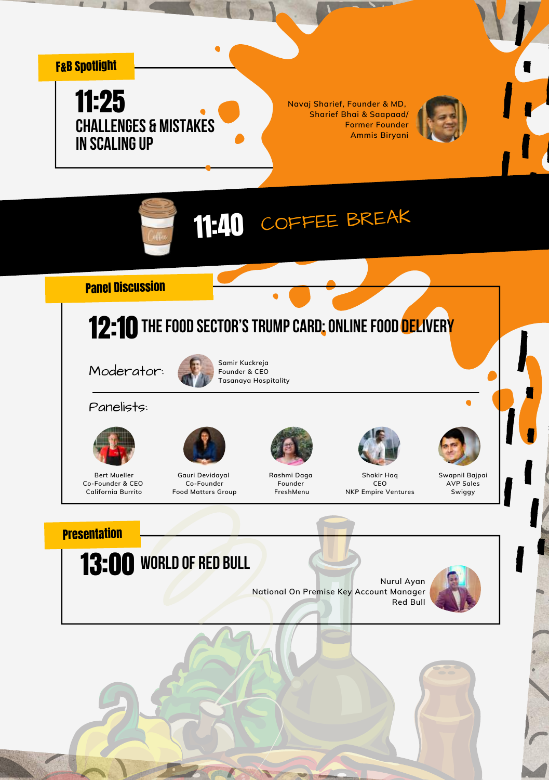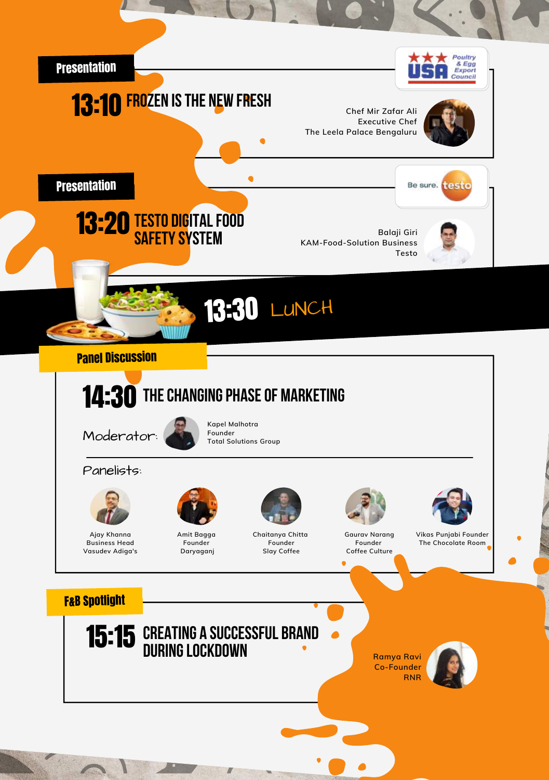